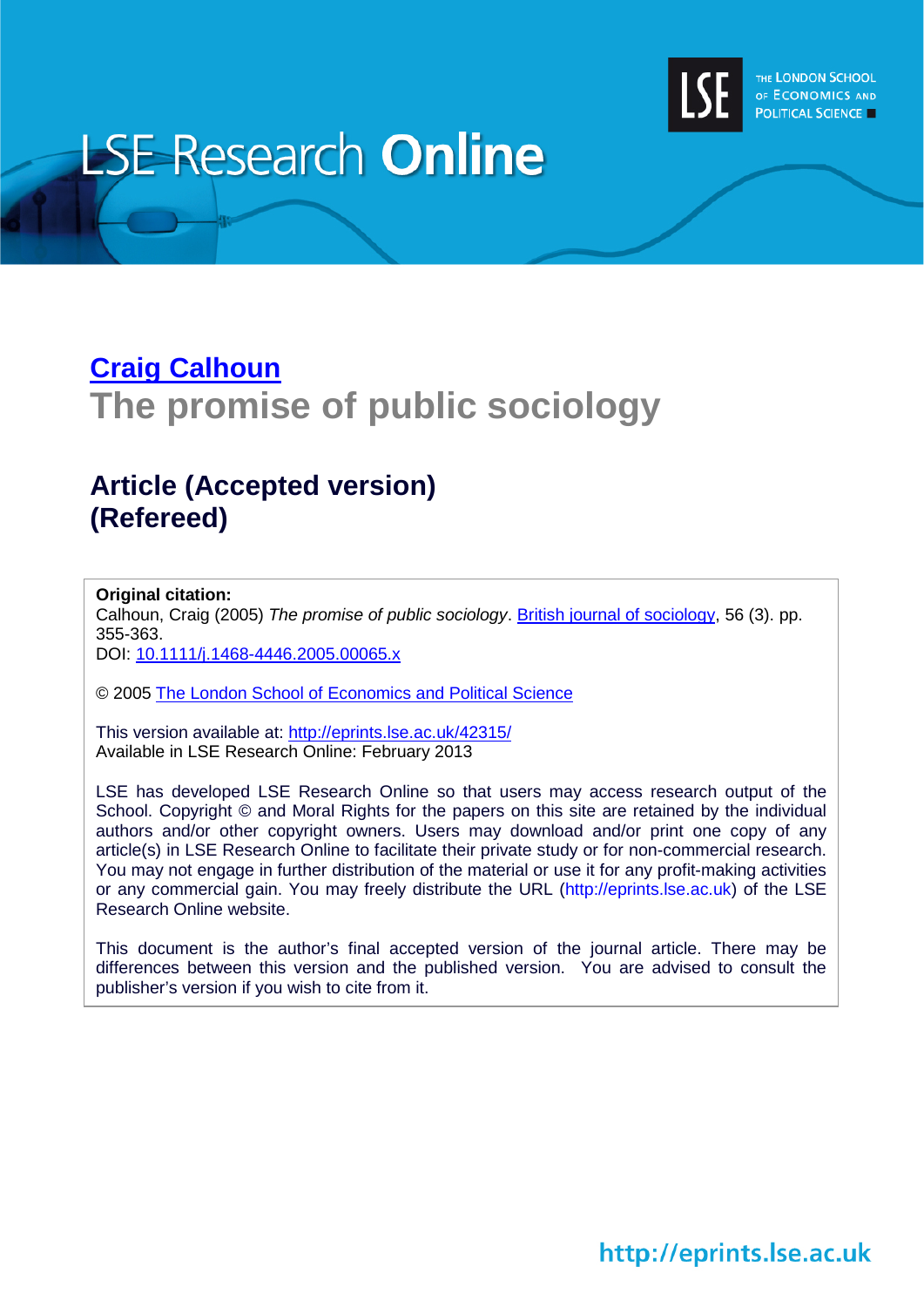

# **LSE Research Online**

## **[Craig Calhoun](http://www2.lse.ac.uk/researchAndExpertise/Experts/profile.aspx?KeyValue=c.calhoun@lse.ac.uk) The promise of public sociology**

## **Article (Accepted version) (Refereed)**

#### **Original citation:**

Calhoun, Craig (2005) *The promise of public sociology*. [British journal of sociology,](http://onlinelibrary.wiley.com/journal/10.1111/%28ISSN%291468-4446) 56 (3). pp. 355-363.

DOI: [10.1111/j.1468-4446.2005.00065.x](http://dx.doi.org/10.1111/j.1468-4446.2005.00065.x)

© 2005 [The London School of Economics and Political Science](http://www2.lse.ac.uk/home.aspx)

This version available at:<http://eprints.lse.ac.uk/42315/> Available in LSE Research Online: February 2013

LSE has developed LSE Research Online so that users may access research output of the School. Copyright © and Moral Rights for the papers on this site are retained by the individual authors and/or other copyright owners. Users may download and/or print one copy of any article(s) in LSE Research Online to facilitate their private study or for non-commercial research. You may not engage in further distribution of the material or use it for any profit-making activities or any commercial gain. You may freely distribute the URL (http://eprints.lse.ac.uk) of the LSE Research Online website.

This document is the author's final accepted version of the journal article. There may be differences between this version and the published version. You are advised to consult the publisher's version if you wish to cite from it.

## http://eprints.lse.ac.uk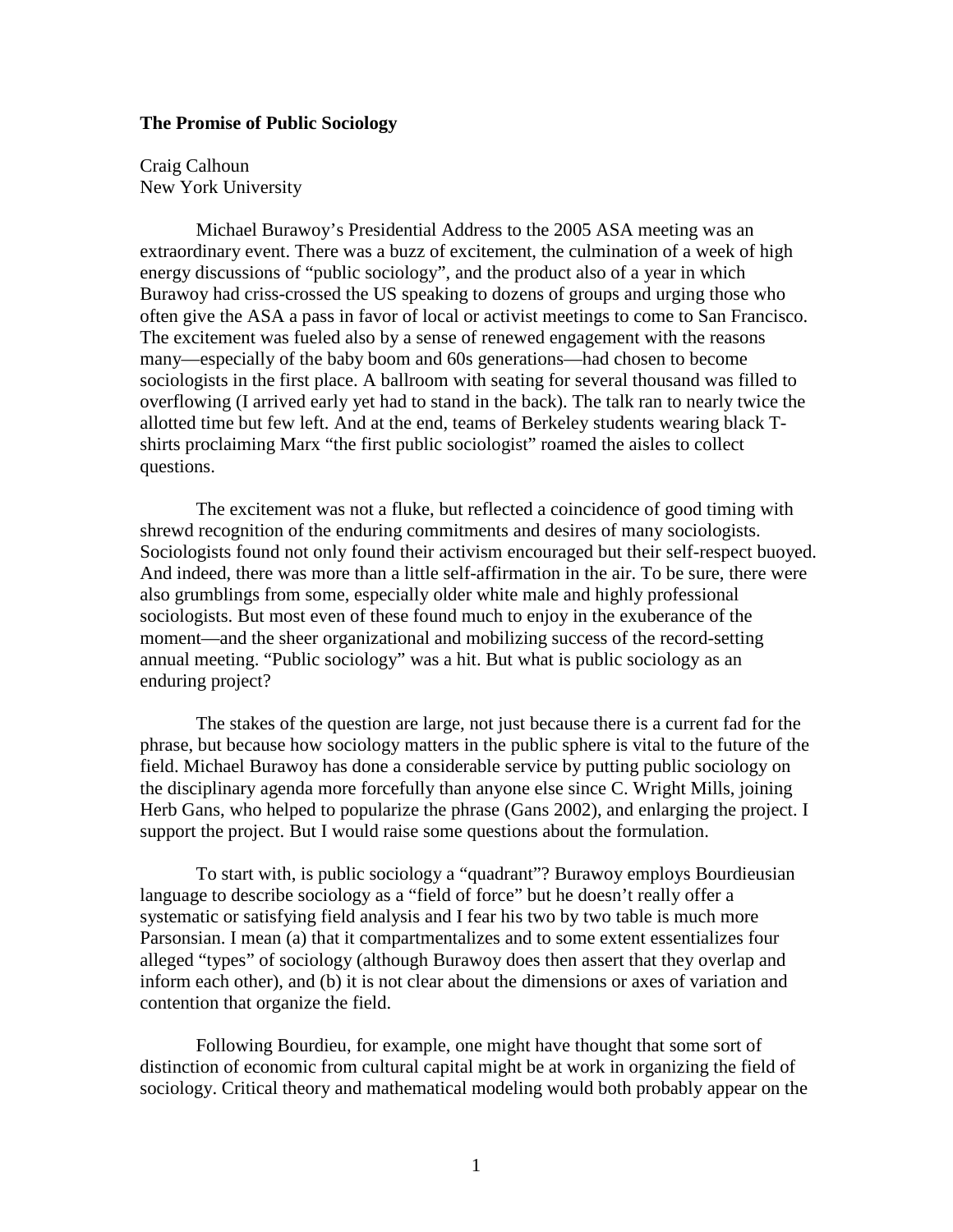#### **The Promise of Public Sociology**

Craig Calhoun New York University

Michael Burawoy's Presidential Address to the 2005 ASA meeting was an extraordinary event. There was a buzz of excitement, the culmination of a week of high energy discussions of "public sociology", and the product also of a year in which Burawoy had criss-crossed the US speaking to dozens of groups and urging those who often give the ASA a pass in favor of local or activist meetings to come to San Francisco. The excitement was fueled also by a sense of renewed engagement with the reasons many—especially of the baby boom and 60s generations—had chosen to become sociologists in the first place. A ballroom with seating for several thousand was filled to overflowing (I arrived early yet had to stand in the back). The talk ran to nearly twice the allotted time but few left. And at the end, teams of Berkeley students wearing black Tshirts proclaiming Marx "the first public sociologist" roamed the aisles to collect questions.

The excitement was not a fluke, but reflected a coincidence of good timing with shrewd recognition of the enduring commitments and desires of many sociologists. Sociologists found not only found their activism encouraged but their self-respect buoyed. And indeed, there was more than a little self-affirmation in the air. To be sure, there were also grumblings from some, especially older white male and highly professional sociologists. But most even of these found much to enjoy in the exuberance of the moment—and the sheer organizational and mobilizing success of the record-setting annual meeting. "Public sociology" was a hit. But what is public sociology as an enduring project?

The stakes of the question are large, not just because there is a current fad for the phrase, but because how sociology matters in the public sphere is vital to the future of the field. Michael Burawoy has done a considerable service by putting public sociology on the disciplinary agenda more forcefully than anyone else since C. Wright Mills, joining Herb Gans, who helped to popularize the phrase (Gans 2002), and enlarging the project. I support the project. But I would raise some questions about the formulation.

To start with, is public sociology a "quadrant"? Burawoy employs Bourdieusian language to describe sociology as a "field of force" but he doesn't really offer a systematic or satisfying field analysis and I fear his two by two table is much more Parsonsian. I mean (a) that it compartmentalizes and to some extent essentializes four alleged "types" of sociology (although Burawoy does then assert that they overlap and inform each other), and (b) it is not clear about the dimensions or axes of variation and contention that organize the field.

Following Bourdieu, for example, one might have thought that some sort of distinction of economic from cultural capital might be at work in organizing the field of sociology. Critical theory and mathematical modeling would both probably appear on the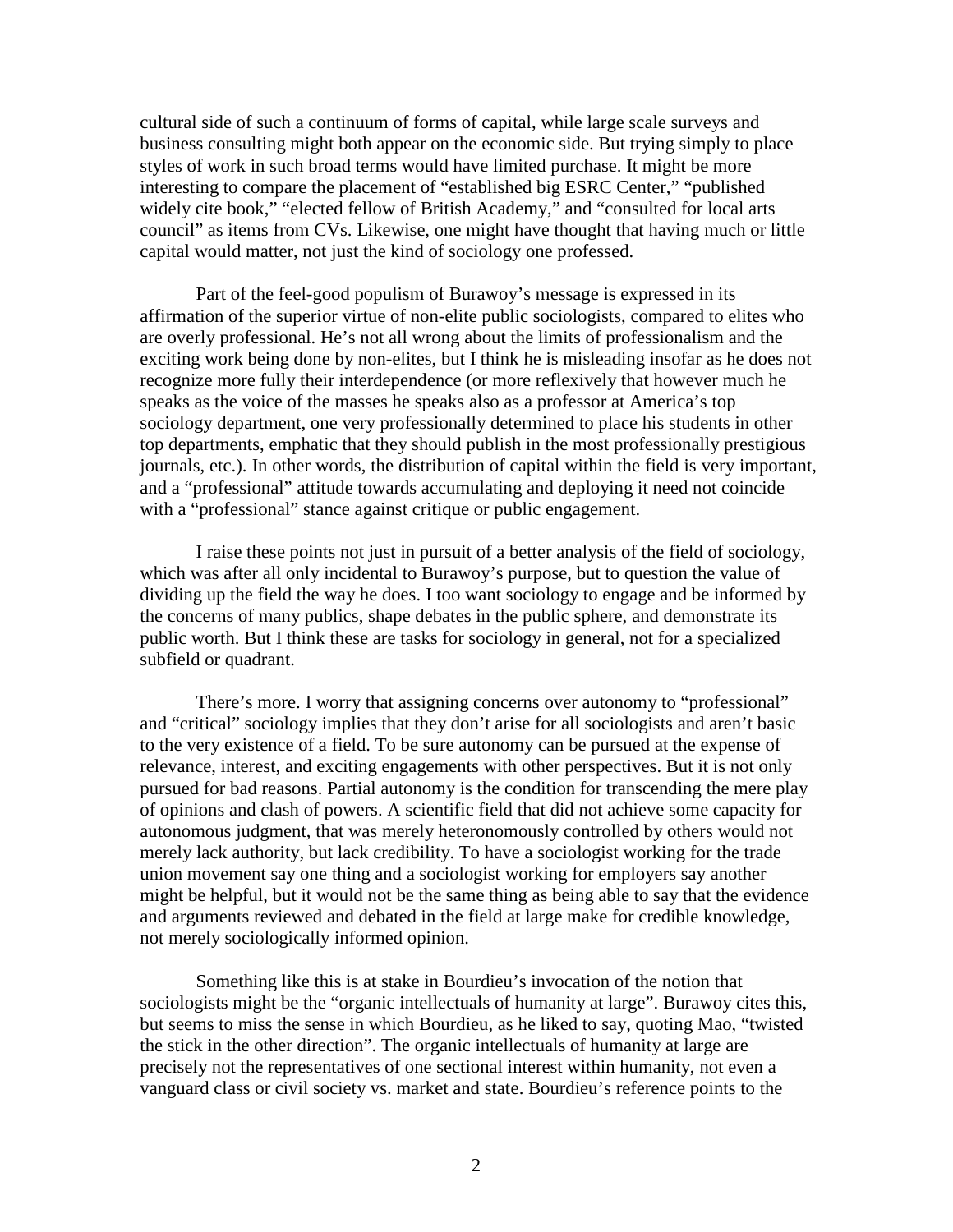cultural side of such a continuum of forms of capital, while large scale surveys and business consulting might both appear on the economic side. But trying simply to place styles of work in such broad terms would have limited purchase. It might be more interesting to compare the placement of "established big ESRC Center," "published widely cite book," "elected fellow of British Academy," and "consulted for local arts council" as items from CVs. Likewise, one might have thought that having much or little capital would matter, not just the kind of sociology one professed.

Part of the feel-good populism of Burawoy's message is expressed in its affirmation of the superior virtue of non-elite public sociologists, compared to elites who are overly professional. He's not all wrong about the limits of professionalism and the exciting work being done by non-elites, but I think he is misleading insofar as he does not recognize more fully their interdependence (or more reflexively that however much he speaks as the voice of the masses he speaks also as a professor at America's top sociology department, one very professionally determined to place his students in other top departments, emphatic that they should publish in the most professionally prestigious journals, etc.). In other words, the distribution of capital within the field is very important, and a "professional" attitude towards accumulating and deploying it need not coincide with a "professional" stance against critique or public engagement.

I raise these points not just in pursuit of a better analysis of the field of sociology, which was after all only incidental to Burawoy's purpose, but to question the value of dividing up the field the way he does. I too want sociology to engage and be informed by the concerns of many publics, shape debates in the public sphere, and demonstrate its public worth. But I think these are tasks for sociology in general, not for a specialized subfield or quadrant.

There's more. I worry that assigning concerns over autonomy to "professional" and "critical" sociology implies that they don't arise for all sociologists and aren't basic to the very existence of a field. To be sure autonomy can be pursued at the expense of relevance, interest, and exciting engagements with other perspectives. But it is not only pursued for bad reasons. Partial autonomy is the condition for transcending the mere play of opinions and clash of powers. A scientific field that did not achieve some capacity for autonomous judgment, that was merely heteronomously controlled by others would not merely lack authority, but lack credibility. To have a sociologist working for the trade union movement say one thing and a sociologist working for employers say another might be helpful, but it would not be the same thing as being able to say that the evidence and arguments reviewed and debated in the field at large make for credible knowledge, not merely sociologically informed opinion.

Something like this is at stake in Bourdieu's invocation of the notion that sociologists might be the "organic intellectuals of humanity at large". Burawoy cites this, but seems to miss the sense in which Bourdieu, as he liked to say, quoting Mao, "twisted the stick in the other direction". The organic intellectuals of humanity at large are precisely not the representatives of one sectional interest within humanity, not even a vanguard class or civil society vs. market and state. Bourdieu's reference points to the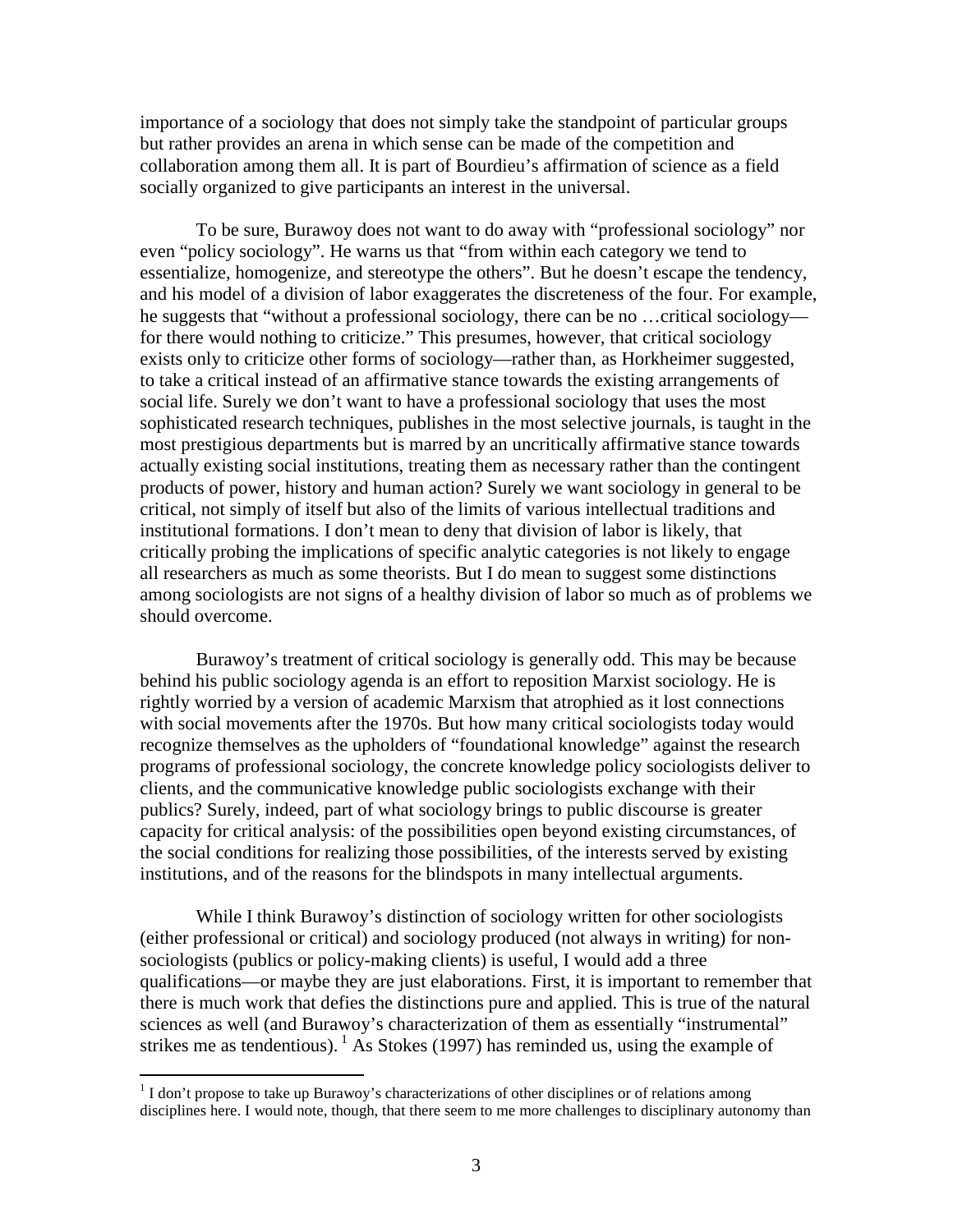importance of a sociology that does not simply take the standpoint of particular groups but rather provides an arena in which sense can be made of the competition and collaboration among them all. It is part of Bourdieu's affirmation of science as a field socially organized to give participants an interest in the universal.

To be sure, Burawoy does not want to do away with "professional sociology" nor even "policy sociology". He warns us that "from within each category we tend to essentialize, homogenize, and stereotype the others". But he doesn't escape the tendency, and his model of a division of labor exaggerates the discreteness of the four. For example, he suggests that "without a professional sociology, there can be no …critical sociology for there would nothing to criticize." This presumes, however, that critical sociology exists only to criticize other forms of sociology—rather than, as Horkheimer suggested, to take a critical instead of an affirmative stance towards the existing arrangements of social life. Surely we don't want to have a professional sociology that uses the most sophisticated research techniques, publishes in the most selective journals, is taught in the most prestigious departments but is marred by an uncritically affirmative stance towards actually existing social institutions, treating them as necessary rather than the contingent products of power, history and human action? Surely we want sociology in general to be critical, not simply of itself but also of the limits of various intellectual traditions and institutional formations. I don't mean to deny that division of labor is likely, that critically probing the implications of specific analytic categories is not likely to engage all researchers as much as some theorists. But I do mean to suggest some distinctions among sociologists are not signs of a healthy division of labor so much as of problems we should overcome.

Burawoy's treatment of critical sociology is generally odd. This may be because behind his public sociology agenda is an effort to reposition Marxist sociology. He is rightly worried by a version of academic Marxism that atrophied as it lost connections with social movements after the 1970s. But how many critical sociologists today would recognize themselves as the upholders of "foundational knowledge" against the research programs of professional sociology, the concrete knowledge policy sociologists deliver to clients, and the communicative knowledge public sociologists exchange with their publics? Surely, indeed, part of what sociology brings to public discourse is greater capacity for critical analysis: of the possibilities open beyond existing circumstances, of the social conditions for realizing those possibilities, of the interests served by existing institutions, and of the reasons for the blindspots in many intellectual arguments.

While I think Burawoy's distinction of sociology written for other sociologists (either professional or critical) and sociology produced (not always in writing) for nonsociologists (publics or policy-making clients) is useful, I would add a three qualifications—or maybe they are just elaborations. First, it is important to remember that there is much work that defies the distinctions pure and applied. This is true of the natural sciences as well (and Burawoy's characterization of them as essentially "instrumental" strikes me as tendentious).  $\frac{1}{1}$  $\frac{1}{1}$  $\frac{1}{1}$  As Stokes (1997) has reminded us, using the example of

<span id="page-3-0"></span><sup>&</sup>lt;sup>1</sup> I don't propose to take up Burawoy's characterizations of other disciplines or of relations among disciplines here. I would note, though, that there seem to me more challenges to disciplinary autonomy than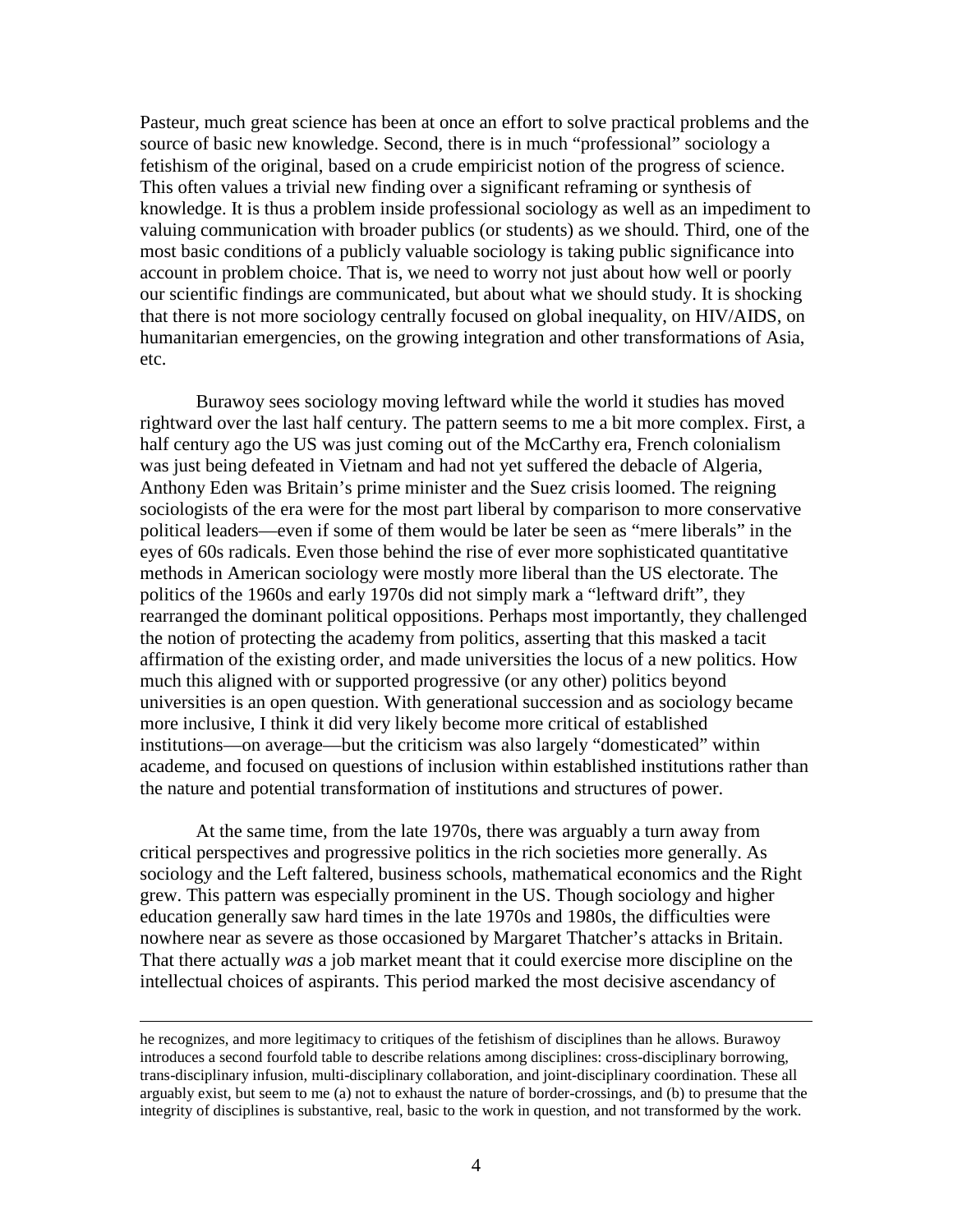Pasteur, much great science has been at once an effort to solve practical problems and the source of basic new knowledge. Second, there is in much "professional" sociology a fetishism of the original, based on a crude empiricist notion of the progress of science. This often values a trivial new finding over a significant reframing or synthesis of knowledge. It is thus a problem inside professional sociology as well as an impediment to valuing communication with broader publics (or students) as we should. Third, one of the most basic conditions of a publicly valuable sociology is taking public significance into account in problem choice. That is, we need to worry not just about how well or poorly our scientific findings are communicated, but about what we should study. It is shocking that there is not more sociology centrally focused on global inequality, on HIV/AIDS, on humanitarian emergencies, on the growing integration and other transformations of Asia, etc.

Burawoy sees sociology moving leftward while the world it studies has moved rightward over the last half century. The pattern seems to me a bit more complex. First, a half century ago the US was just coming out of the McCarthy era, French colonialism was just being defeated in Vietnam and had not yet suffered the debacle of Algeria, Anthony Eden was Britain's prime minister and the Suez crisis loomed. The reigning sociologists of the era were for the most part liberal by comparison to more conservative political leaders—even if some of them would be later be seen as "mere liberals" in the eyes of 60s radicals. Even those behind the rise of ever more sophisticated quantitative methods in American sociology were mostly more liberal than the US electorate. The politics of the 1960s and early 1970s did not simply mark a "leftward drift", they rearranged the dominant political oppositions. Perhaps most importantly, they challenged the notion of protecting the academy from politics, asserting that this masked a tacit affirmation of the existing order, and made universities the locus of a new politics. How much this aligned with or supported progressive (or any other) politics beyond universities is an open question. With generational succession and as sociology became more inclusive, I think it did very likely become more critical of established institutions—on average—but the criticism was also largely "domesticated" within academe, and focused on questions of inclusion within established institutions rather than the nature and potential transformation of institutions and structures of power.

At the same time, from the late 1970s, there was arguably a turn away from critical perspectives and progressive politics in the rich societies more generally. As sociology and the Left faltered, business schools, mathematical economics and the Right grew. This pattern was especially prominent in the US. Though sociology and higher education generally saw hard times in the late 1970s and 1980s, the difficulties were nowhere near as severe as those occasioned by Margaret Thatcher's attacks in Britain. That there actually *was* a job market meant that it could exercise more discipline on the intellectual choices of aspirants. This period marked the most decisive ascendancy of

he recognizes, and more legitimacy to critiques of the fetishism of disciplines than he allows. Burawoy introduces a second fourfold table to describe relations among disciplines: cross-disciplinary borrowing, trans-disciplinary infusion, multi-disciplinary collaboration, and joint-disciplinary coordination. These all arguably exist, but seem to me (a) not to exhaust the nature of border-crossings, and (b) to presume that the integrity of disciplines is substantive, real, basic to the work in question, and not transformed by the work.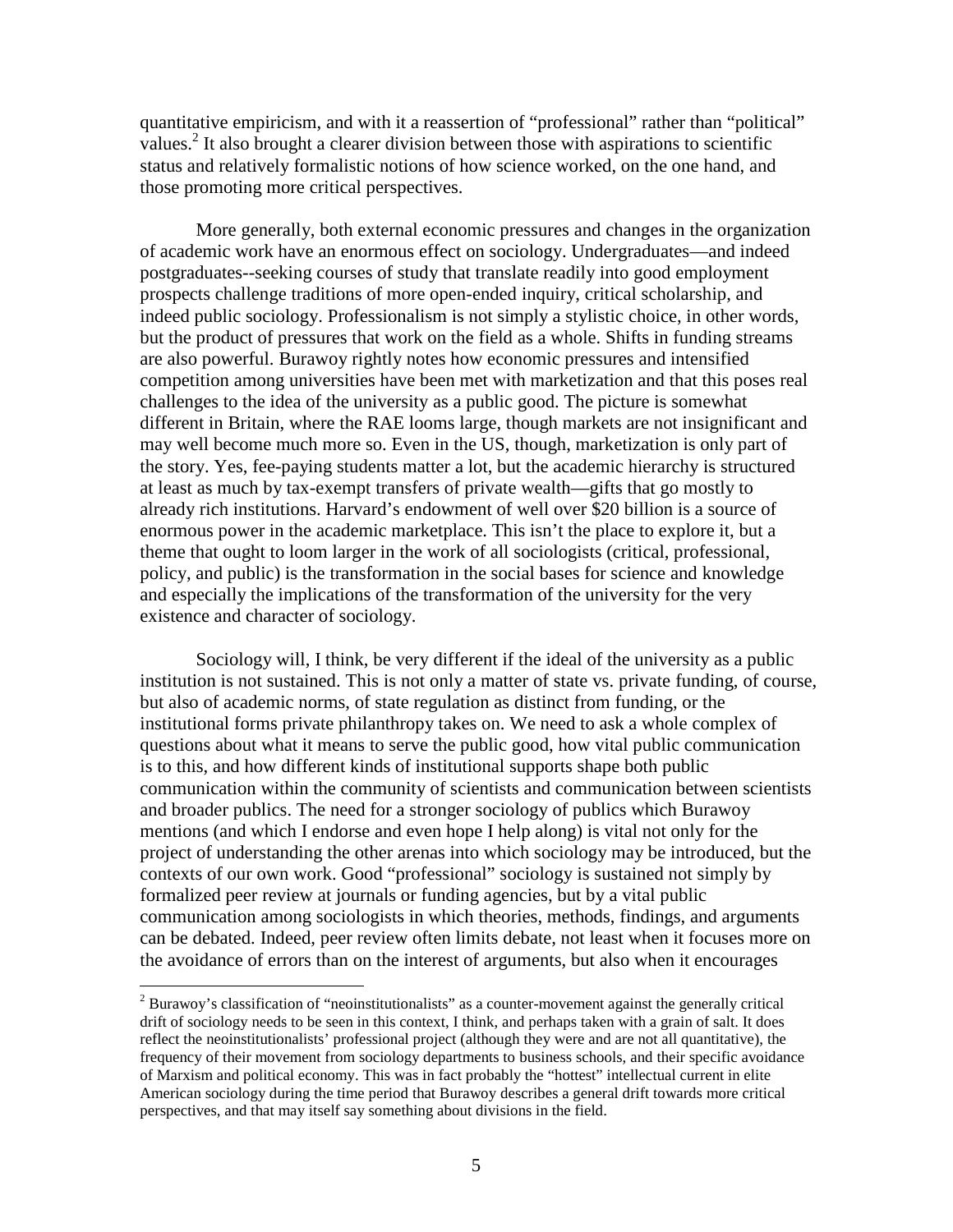quantitative empiricism, and with it a reassertion of "professional" rather than "political" values.<sup>2</sup> It also brought a clearer division between those with aspirations to scientific status and relatively formalistic notions of how science worked, on the one hand, and those promoting more critical perspectives.

More generally, both external economic pressures and changes in the organization of academic work have an enormous effect on sociology. Undergraduates—and indeed postgraduates--seeking courses of study that translate readily into good employment prospects challenge traditions of more open-ended inquiry, critical scholarship, and indeed public sociology. Professionalism is not simply a stylistic choice, in other words, but the product of pressures that work on the field as a whole. Shifts in funding streams are also powerful. Burawoy rightly notes how economic pressures and intensified competition among universities have been met with marketization and that this poses real challenges to the idea of the university as a public good. The picture is somewhat different in Britain, where the RAE looms large, though markets are not insignificant and may well become much more so. Even in the US, though, marketization is only part of the story. Yes, fee-paying students matter a lot, but the academic hierarchy is structured at least as much by tax-exempt transfers of private wealth—gifts that go mostly to already rich institutions. Harvard's endowment of well over \$20 billion is a source of enormous power in the academic marketplace. This isn't the place to explore it, but a theme that ought to loom larger in the work of all sociologists (critical, professional, policy, and public) is the transformation in the social bases for science and knowledge and especially the implications of the transformation of the university for the very existence and character of sociology.

Sociology will, I think, be very different if the ideal of the university as a public institution is not sustained. This is not only a matter of state vs. private funding, of course, but also of academic norms, of state regulation as distinct from funding, or the institutional forms private philanthropy takes on. We need to ask a whole complex of questions about what it means to serve the public good, how vital public communication is to this, and how different kinds of institutional supports shape both public communication within the community of scientists and communication between scientists and broader publics. The need for a stronger sociology of publics which Burawoy mentions (and which I endorse and even hope I help along) is vital not only for the project of understanding the other arenas into which sociology may be introduced, but the contexts of our own work. Good "professional" sociology is sustained not simply by formalized peer review at journals or funding agencies, but by a vital public communication among sociologists in which theories, methods, findings, and arguments can be debated. Indeed, peer review often limits debate, not least when it focuses more on the avoidance of errors than on the interest of arguments, but also when it encourages

 $<sup>2</sup>$  Burawoy's classification of "neoinstitutionalists" as a counter-movement against the generally critical</sup> drift of sociology needs to be seen in this context, I think, and perhaps taken with a grain of salt. It does reflect the neoinstitutionalists' professional project (although they were and are not all quantitative), the frequency of their movement from sociology departments to business schools, and their specific avoidance of Marxism and political economy. This was in fact probably the "hottest" intellectual current in elite American sociology during the time period that Burawoy describes a general drift towards more critical perspectives, and that may itself say something about divisions in the field.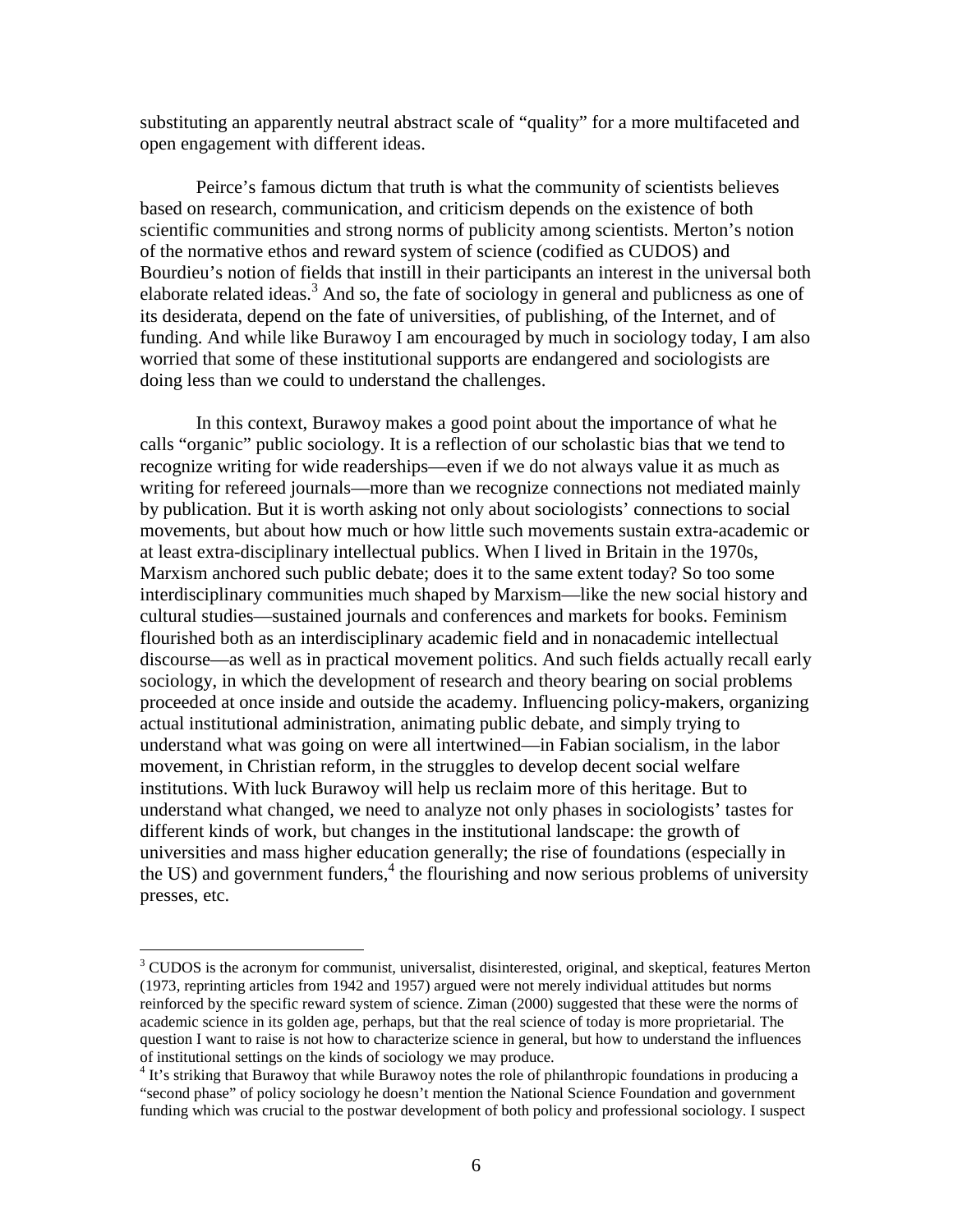substituting an apparently neutral abstract scale of "quality" for a more multifaceted and open engagement with different ideas.

Peirce's famous dictum that truth is what the community of scientists believes based on research, communication, and criticism depends on the existence of both scientific communities and strong norms of publicity among scientists. Merton's notion of the normative ethos and reward system of science (codified as CUDOS) and Bourdieu's notion of fields that instill in their participants an interest in the universal both elaborate related ideas.<sup>3</sup> And so, the fate of sociology in general and publicness as one of its desiderata, depend on the fate of universities, of publishing, of the Internet, and of funding. And while like Burawoy I am encouraged by much in sociology today, I am also worried that some of these institutional supports are endangered and sociologists are doing less than we could to understand the challenges.

In this context, Burawoy makes a good point about the importance of what he calls "organic" public sociology. It is a reflection of our scholastic bias that we tend to recognize writing for wide readerships—even if we do not always value it as much as writing for refereed journals—more than we recognize connections not mediated mainly by publication. But it is worth asking not only about sociologists' connections to social movements, but about how much or how little such movements sustain extra-academic or at least extra-disciplinary intellectual publics. When I lived in Britain in the 1970s, Marxism anchored such public debate; does it to the same extent today? So too some interdisciplinary communities much shaped by Marxism—like the new social history and cultural studies—sustained journals and conferences and markets for books. Feminism flourished both as an interdisciplinary academic field and in nonacademic intellectual discourse—as well as in practical movement politics. And such fields actually recall early sociology, in which the development of research and theory bearing on social problems proceeded at once inside and outside the academy. Influencing policy-makers, organizing actual institutional administration, animating public debate, and simply trying to understand what was going on were all intertwined—in Fabian socialism, in the labor movement, in Christian reform, in the struggles to develop decent social welfare institutions. With luck Burawoy will help us reclaim more of this heritage. But to understand what changed, we need to analyze not only phases in sociologists' tastes for different kinds of work, but changes in the institutional landscape: the growth of universities and mass higher education generally; the rise of foundations (especially in the US) and government funders, <sup>4</sup> the flourishing and now serious problems of university presses, etc.

<sup>&</sup>lt;sup>3</sup> CUDOS is the acronym for communist, universalist, disinterested, original, and skeptical, features Merton (1973, reprinting articles from 1942 and 1957) argued were not merely individual attitudes but norms reinforced by the specific reward system of science. Ziman (2000) suggested that these were the norms of academic science in its golden age, perhaps, but that the real science of today is more proprietarial. The question I want to raise is not how to characterize science in general, but how to understand the influences of institutional settings on the kinds of sociology we may produce.

<sup>&</sup>lt;sup>4</sup> It's striking that Burawoy that while Burawoy notes the role of philanthropic foundations in producing a "second phase" of policy sociology he doesn't mention the National Science Foundation and government funding which was crucial to the postwar development of both policy and professional sociology. I suspect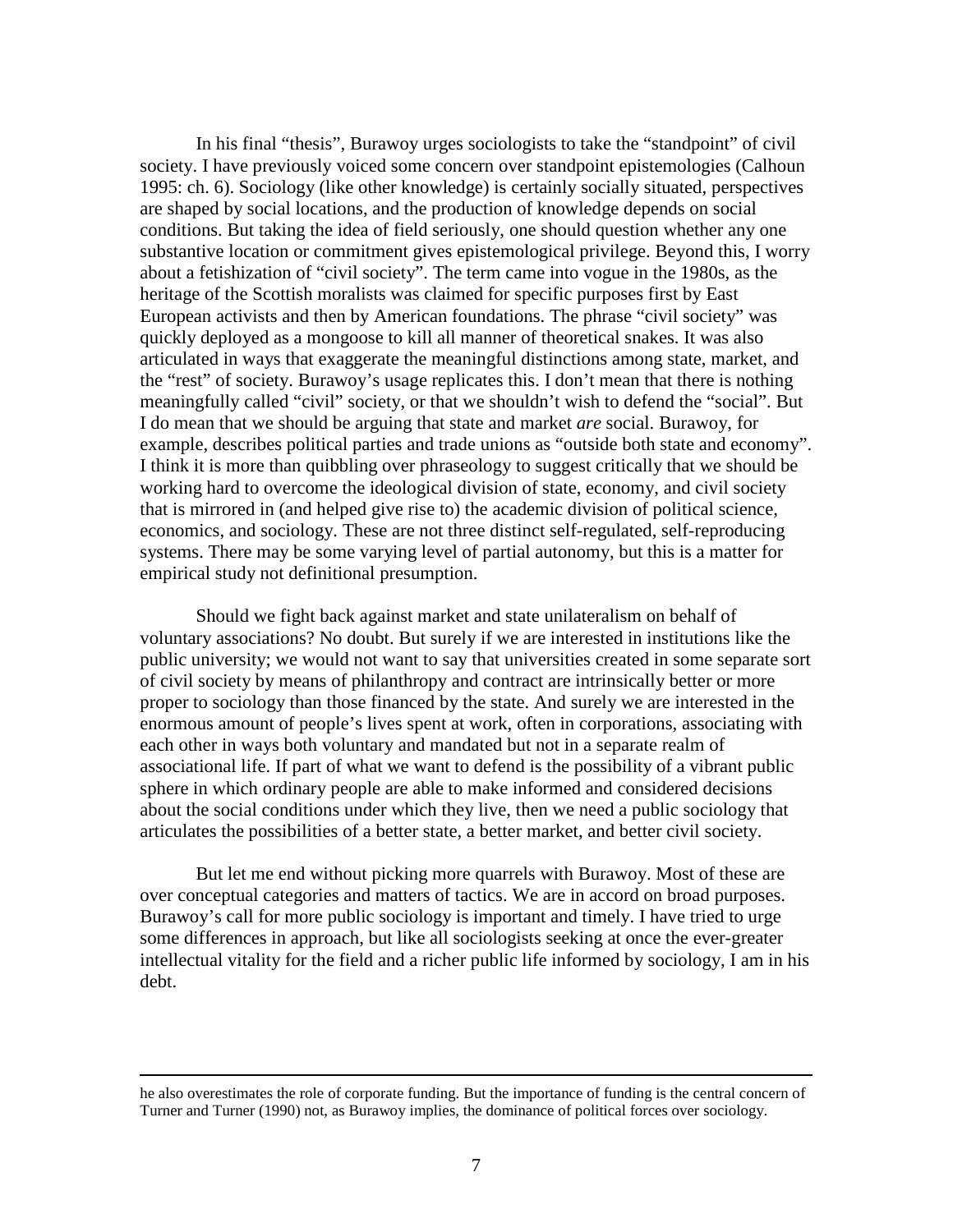In his final "thesis", Burawoy urges sociologists to take the "standpoint" of civil society. I have previously voiced some concern over standpoint epistemologies (Calhoun 1995: ch. 6). Sociology (like other knowledge) is certainly socially situated, perspectives are shaped by social locations, and the production of knowledge depends on social conditions. But taking the idea of field seriously, one should question whether any one substantive location or commitment gives epistemological privilege. Beyond this, I worry about a fetishization of "civil society". The term came into vogue in the 1980s, as the heritage of the Scottish moralists was claimed for specific purposes first by East European activists and then by American foundations. The phrase "civil society" was quickly deployed as a mongoose to kill all manner of theoretical snakes. It was also articulated in ways that exaggerate the meaningful distinctions among state, market, and the "rest" of society. Burawoy's usage replicates this. I don't mean that there is nothing meaningfully called "civil" society, or that we shouldn't wish to defend the "social". But I do mean that we should be arguing that state and market *are* social. Burawoy, for example, describes political parties and trade unions as "outside both state and economy". I think it is more than quibbling over phraseology to suggest critically that we should be working hard to overcome the ideological division of state, economy, and civil society that is mirrored in (and helped give rise to) the academic division of political science, economics, and sociology. These are not three distinct self-regulated, self-reproducing systems. There may be some varying level of partial autonomy, but this is a matter for empirical study not definitional presumption.

Should we fight back against market and state unilateralism on behalf of voluntary associations? No doubt. But surely if we are interested in institutions like the public university; we would not want to say that universities created in some separate sort of civil society by means of philanthropy and contract are intrinsically better or more proper to sociology than those financed by the state. And surely we are interested in the enormous amount of people's lives spent at work, often in corporations, associating with each other in ways both voluntary and mandated but not in a separate realm of associational life. If part of what we want to defend is the possibility of a vibrant public sphere in which ordinary people are able to make informed and considered decisions about the social conditions under which they live, then we need a public sociology that articulates the possibilities of a better state, a better market, and better civil society.

But let me end without picking more quarrels with Burawoy. Most of these are over conceptual categories and matters of tactics. We are in accord on broad purposes. Burawoy's call for more public sociology is important and timely. I have tried to urge some differences in approach, but like all sociologists seeking at once the ever-greater intellectual vitality for the field and a richer public life informed by sociology, I am in his debt.

 $\overline{a}$ 

he also overestimates the role of corporate funding. But the importance of funding is the central concern of Turner and Turner (1990) not, as Burawoy implies, the dominance of political forces over sociology.